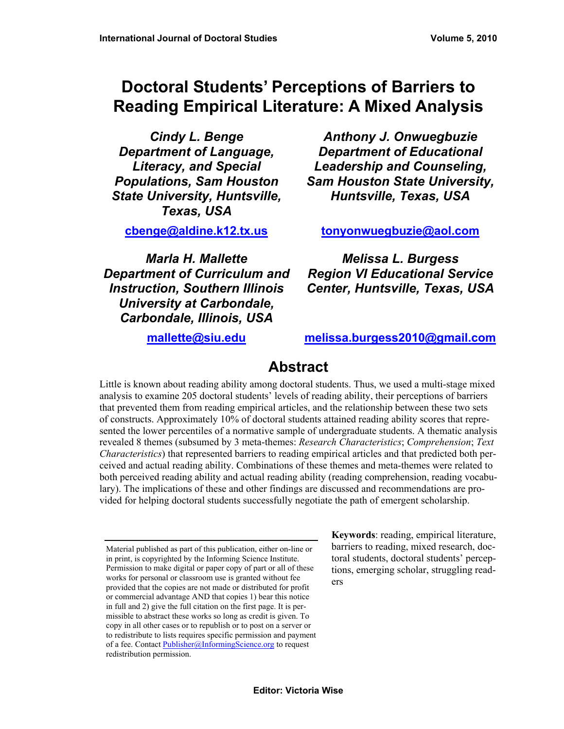# **Doctoral Students' Perceptions of Barriers to Reading Empirical Literature: A Mixed Analysis**

*Cindy L. Benge Department of Language, Literacy, and Special Populations, Sam Houston State University, Huntsville, Texas, USA* 

*Anthony J. Onwuegbuzie Department of Educational Leadership and Counseling, Sam Houston State University, Huntsville, Texas, USA* 

**[cbenge@aldine.k12.tx.us](mailto:cbenge@aldine.k12.tx.us)**

*Marla H. Mallette Department of Curriculum and Instruction, Southern Illinois University at Carbondale, Carbondale, Illinois, USA* 

**[tonyonwuegbuzie@aol.com](mailto:tonyonwuegbuzie@aol.com)**

*Melissa L. Burgess Region VI Educational Service Center, Huntsville, Texas, USA*

**[mallette@siu.edu](mailto:mallette@siu.edu)**

**[melissa.burgess2010@gmail.com](mailto:melissa.burgess2010@gmail.com)**

# **Abstract**

Little is known about reading ability among doctoral students. Thus, we used a multi-stage mixed analysis to examine 205 doctoral students' levels of reading ability, their perceptions of barriers that prevented them from reading empirical articles, and the relationship between these two sets of constructs. Approximately 10% of doctoral students attained reading ability scores that represented the lower percentiles of a normative sample of undergraduate students. A thematic analysis revealed 8 themes (subsumed by 3 meta-themes: *Research Characteristics*; *Comprehension*; *Text Characteristics*) that represented barriers to reading empirical articles and that predicted both perceived and actual reading ability. Combinations of these themes and meta-themes were related to both perceived reading ability and actual reading ability (reading comprehension, reading vocabulary). The implications of these and other findings are discussed and recommendations are provided for helping doctoral students successfully negotiate the path of emergent scholarship.

**Keywords**: reading, empirical literature, barriers to reading, mixed research, doctoral students, doctoral students' perceptions, emerging scholar, struggling readers

Material published as part of this publication, either on-line or in print, is copyrighted by the Informing Science Institute. Permission to make digital or paper copy of part or all of these works for personal or classroom use is granted without fee provided that the copies are not made or distributed for profit or commercial advantage AND that copies 1) bear this notice in full and 2) give the full citation on the first page. It is permissible to abstract these works so long as credit is given. To copy in all other cases or to republish or to post on a server or to redistribute to lists requires specific permission and payment of a fee. Contact [Publisher@InformingScience.org](mailto:Publisher@InformingScience.org) to request redistribution permission.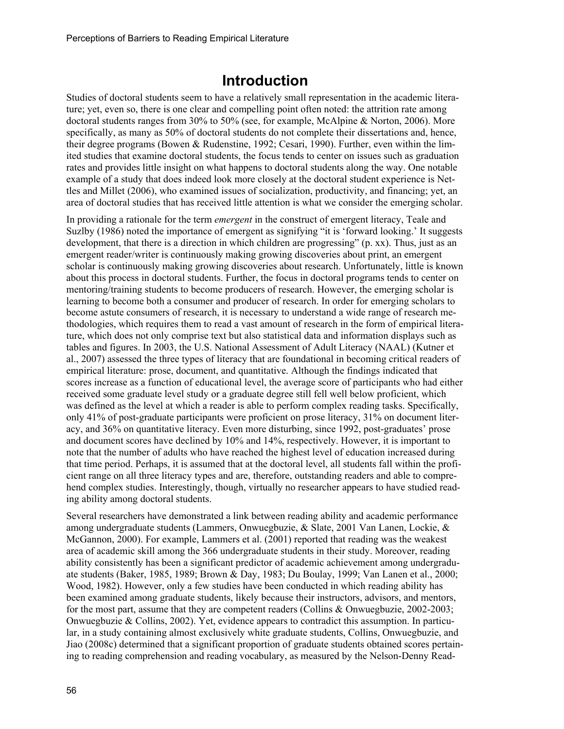# **Introduction**

Studies of doctoral students seem to have a relatively small representation in the academic literature; yet, even so, there is one clear and compelling point often noted: the attrition rate among doctoral students ranges from 30% to 50% (see, for example, McAlpine & Norton, 2006). More specifically, as many as 50% of doctoral students do not complete their dissertations and, hence, their degree programs (Bowen & Rudenstine, 1992; Cesari, 1990). Further, even within the limited studies that examine doctoral students, the focus tends to center on issues such as graduation rates and provides little insight on what happens to doctoral students along the way. One notable example of a study that does indeed look more closely at the doctoral student experience is Nettles and Millet (2006), who examined issues of socialization, productivity, and financing; yet, an area of doctoral studies that has received little attention is what we consider the emerging scholar.

In providing a rationale for the term *emergent* in the construct of emergent literacy, Teale and Suzlby (1986) noted the importance of emergent as signifying "it is 'forward looking.' It suggests development, that there is a direction in which children are progressing" (p. xx). Thus, just as an emergent reader/writer is continuously making growing discoveries about print, an emergent scholar is continuously making growing discoveries about research. Unfortunately, little is known about this process in doctoral students. Further, the focus in doctoral programs tends to center on mentoring/training students to become producers of research. However, the emerging scholar is learning to become both a consumer and producer of research. In order for emerging scholars to become astute consumers of research, it is necessary to understand a wide range of research methodologies, which requires them to read a vast amount of research in the form of empirical literature, which does not only comprise text but also statistical data and information displays such as tables and figures. In 2003, the U.S. National Assessment of Adult Literacy (NAAL) (Kutner et al., 2007) assessed the three types of literacy that are foundational in becoming critical readers of empirical literature: prose, document, and quantitative. Although the findings indicated that scores increase as a function of educational level, the average score of participants who had either received some graduate level study or a graduate degree still fell well below proficient, which was defined as the level at which a reader is able to perform complex reading tasks. Specifically, only 41% of post-graduate participants were proficient on prose literacy, 31% on document literacy, and 36% on quantitative literacy. Even more disturbing, since 1992, post-graduates' prose and document scores have declined by 10% and 14%, respectively. However, it is important to note that the number of adults who have reached the highest level of education increased during that time period. Perhaps, it is assumed that at the doctoral level, all students fall within the proficient range on all three literacy types and are, therefore, outstanding readers and able to comprehend complex studies. Interestingly, though, virtually no researcher appears to have studied reading ability among doctoral students.

Several researchers have demonstrated a link between reading ability and academic performance among undergraduate students (Lammers, Onwuegbuzie, & Slate, 2001 Van Lanen, Lockie, & McGannon, 2000). For example, Lammers et al. (2001) reported that reading was the weakest area of academic skill among the 366 undergraduate students in their study. Moreover, reading ability consistently has been a significant predictor of academic achievement among undergraduate students (Baker, 1985, 1989; Brown & Day, 1983; Du Boulay, 1999; Van Lanen et al., 2000; Wood, 1982). However, only a few studies have been conducted in which reading ability has been examined among graduate students, likely because their instructors, advisors, and mentors, for the most part, assume that they are competent readers (Collins & Onwuegbuzie, 2002-2003; Onwuegbuzie & Collins, 2002). Yet, evidence appears to contradict this assumption. In particular, in a study containing almost exclusively white graduate students, Collins, Onwuegbuzie, and Jiao (2008c) determined that a significant proportion of graduate students obtained scores pertaining to reading comprehension and reading vocabulary, as measured by the Nelson-Denny Read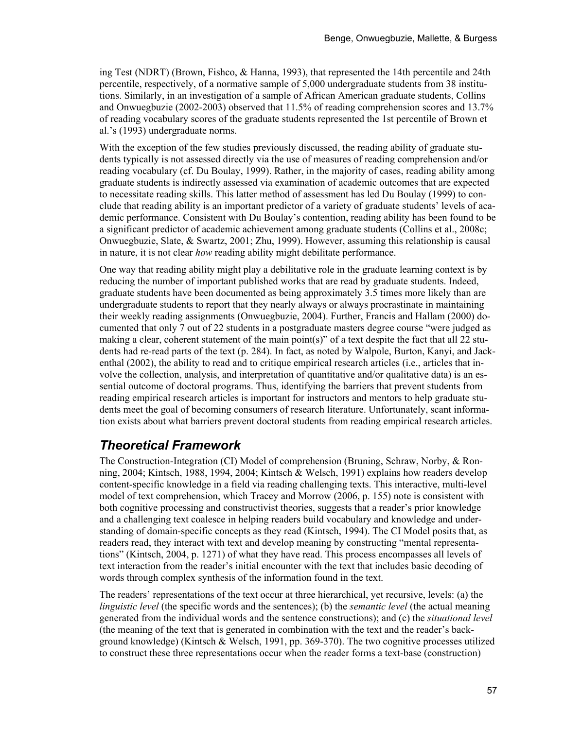ing Test (NDRT) (Brown, Fishco, & Hanna, 1993), that represented the 14th percentile and 24th percentile, respectively, of a normative sample of 5,000 undergraduate students from 38 institutions. Similarly, in an investigation of a sample of African American graduate students, Collins and Onwuegbuzie (2002-2003) observed that 11.5% of reading comprehension scores and 13.7% of reading vocabulary scores of the graduate students represented the 1st percentile of Brown et al.'s (1993) undergraduate norms.

With the exception of the few studies previously discussed, the reading ability of graduate students typically is not assessed directly via the use of measures of reading comprehension and/or reading vocabulary (cf. Du Boulay, 1999). Rather, in the majority of cases, reading ability among graduate students is indirectly assessed via examination of academic outcomes that are expected to necessitate reading skills. This latter method of assessment has led Du Boulay (1999) to conclude that reading ability is an important predictor of a variety of graduate students' levels of academic performance. Consistent with Du Boulay's contention, reading ability has been found to be a significant predictor of academic achievement among graduate students (Collins et al., 2008c; Onwuegbuzie, Slate, & Swartz, 2001; Zhu, 1999). However, assuming this relationship is causal in nature, it is not clear *how* reading ability might debilitate performance.

One way that reading ability might play a debilitative role in the graduate learning context is by reducing the number of important published works that are read by graduate students. Indeed, graduate students have been documented as being approximately 3.5 times more likely than are undergraduate students to report that they nearly always or always procrastinate in maintaining their weekly reading assignments (Onwuegbuzie, 2004). Further, Francis and Hallam (2000) documented that only 7 out of 22 students in a postgraduate masters degree course "were judged as making a clear, coherent statement of the main point(s)" of a text despite the fact that all 22 students had re-read parts of the text (p. 284). In fact, as noted by Walpole, Burton, Kanyi, and Jackenthal (2002), the ability to read and to critique empirical research articles (i.e., articles that involve the collection, analysis, and interpretation of quantitative and/or qualitative data) is an essential outcome of doctoral programs. Thus, identifying the barriers that prevent students from reading empirical research articles is important for instructors and mentors to help graduate students meet the goal of becoming consumers of research literature. Unfortunately, scant information exists about what barriers prevent doctoral students from reading empirical research articles.

### *Theoretical Framework*

The Construction-Integration (CI) Model of comprehension (Bruning, Schraw, Norby, & Ronning, 2004; Kintsch, 1988, 1994, 2004; Kintsch & Welsch, 1991) explains how readers develop content-specific knowledge in a field via reading challenging texts. This interactive, multi-level model of text comprehension, which Tracey and Morrow (2006, p. 155) note is consistent with both cognitive processing and constructivist theories, suggests that a reader's prior knowledge and a challenging text coalesce in helping readers build vocabulary and knowledge and understanding of domain-specific concepts as they read (Kintsch, 1994). The CI Model posits that, as readers read, they interact with text and develop meaning by constructing "mental representations" (Kintsch, 2004, p. 1271) of what they have read. This process encompasses all levels of text interaction from the reader's initial encounter with the text that includes basic decoding of words through complex synthesis of the information found in the text.

The readers' representations of the text occur at three hierarchical, yet recursive, levels: (a) the *linguistic level* (the specific words and the sentences); (b) the *semantic level* (the actual meaning generated from the individual words and the sentence constructions); and (c) the *situational level* (the meaning of the text that is generated in combination with the text and the reader's background knowledge) (Kintsch & Welsch, 1991, pp. 369-370). The two cognitive processes utilized to construct these three representations occur when the reader forms a text-base (construction)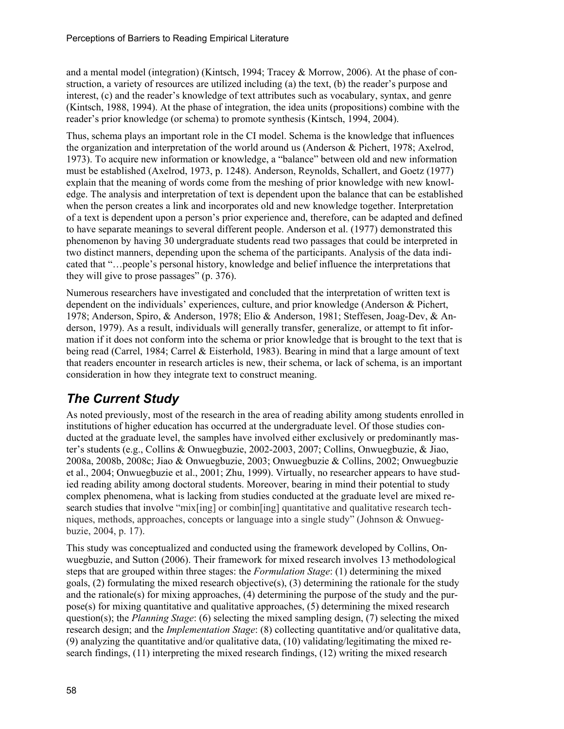and a mental model (integration) (Kintsch, 1994; Tracey & Morrow, 2006). At the phase of construction, a variety of resources are utilized including (a) the text, (b) the reader's purpose and interest, (c) and the reader's knowledge of text attributes such as vocabulary, syntax, and genre (Kintsch, 1988, 1994). At the phase of integration, the idea units (propositions) combine with the reader's prior knowledge (or schema) to promote synthesis (Kintsch, 1994, 2004).

Thus, schema plays an important role in the CI model. Schema is the knowledge that influences the organization and interpretation of the world around us (Anderson & Pichert, 1978; Axelrod, 1973). To acquire new information or knowledge, a "balance" between old and new information must be established (Axelrod, 1973, p. 1248). Anderson, Reynolds, Schallert, and Goetz (1977) explain that the meaning of words come from the meshing of prior knowledge with new knowledge. The analysis and interpretation of text is dependent upon the balance that can be established when the person creates a link and incorporates old and new knowledge together. Interpretation of a text is dependent upon a person's prior experience and, therefore, can be adapted and defined to have separate meanings to several different people. Anderson et al. (1977) demonstrated this phenomenon by having 30 undergraduate students read two passages that could be interpreted in two distinct manners, depending upon the schema of the participants. Analysis of the data indicated that "…people's personal history, knowledge and belief influence the interpretations that they will give to prose passages" (p. 376).

Numerous researchers have investigated and concluded that the interpretation of written text is dependent on the individuals' experiences, culture, and prior knowledge (Anderson & Pichert, 1978; Anderson, Spiro, & Anderson, 1978; Elio & Anderson, 1981; Steffesen, Joag-Dev, & Anderson, 1979). As a result, individuals will generally transfer, generalize, or attempt to fit information if it does not conform into the schema or prior knowledge that is brought to the text that is being read (Carrel, 1984; Carrel & Eisterhold, 1983). Bearing in mind that a large amount of text that readers encounter in research articles is new, their schema, or lack of schema, is an important consideration in how they integrate text to construct meaning.

# *The Current Study*

As noted previously, most of the research in the area of reading ability among students enrolled in institutions of higher education has occurred at the undergraduate level. Of those studies conducted at the graduate level, the samples have involved either exclusively or predominantly master's students (e.g., Collins & Onwuegbuzie, 2002-2003, 2007; Collins, Onwuegbuzie, & Jiao, 2008a, 2008b, 2008c; Jiao & Onwuegbuzie, 2003; Onwuegbuzie & Collins, 2002; Onwuegbuzie et al., 2004; Onwuegbuzie et al., 2001; Zhu, 1999). Virtually, no researcher appears to have studied reading ability among doctoral students. Moreover, bearing in mind their potential to study complex phenomena, what is lacking from studies conducted at the graduate level are mixed research studies that involve "mix[ing] or combin[ing] quantitative and qualitative research techniques, methods, approaches, concepts or language into a single study" (Johnson & Onwuegbuzie, 2004, p. 17).

This study was conceptualized and conducted using the framework developed by Collins, Onwuegbuzie, and Sutton (2006). Their framework for mixed research involves 13 methodological steps that are grouped within three stages: the *Formulation Stage*: (1) determining the mixed goals, (2) formulating the mixed research objective(s), (3) determining the rationale for the study and the rationale(s) for mixing approaches,  $(4)$  determining the purpose of the study and the purpose(s) for mixing quantitative and qualitative approaches, (5) determining the mixed research question(s); the *Planning Stage*: (6) selecting the mixed sampling design, (7) selecting the mixed research design; and the *Implementation Stage*: (8) collecting quantitative and/or qualitative data, (9) analyzing the quantitative and/or qualitative data, (10) validating/legitimating the mixed research findings, (11) interpreting the mixed research findings, (12) writing the mixed research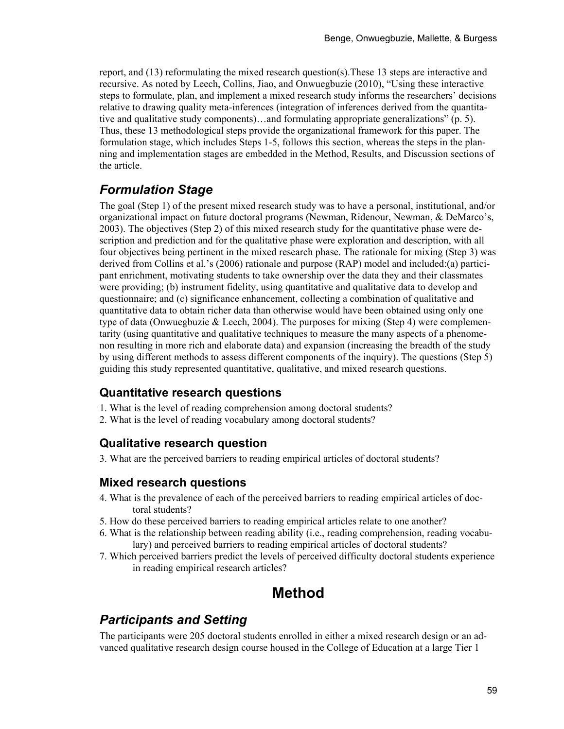report, and (13) reformulating the mixed research question(s).These 13 steps are interactive and recursive. As noted by Leech, Collins, Jiao, and Onwuegbuzie (2010), "Using these interactive steps to formulate, plan, and implement a mixed research study informs the researchers' decisions relative to drawing quality meta-inferences (integration of inferences derived from the quantitative and qualitative study components)…and formulating appropriate generalizations" (p. 5). Thus, these 13 methodological steps provide the organizational framework for this paper. The formulation stage, which includes Steps 1-5, follows this section, whereas the steps in the planning and implementation stages are embedded in the Method, Results, and Discussion sections of the article.

## *Formulation Stage*

The goal (Step 1) of the present mixed research study was to have a personal, institutional, and/or organizational impact on future doctoral programs (Newman, Ridenour, Newman, & DeMarco's, 2003). The objectives (Step 2) of this mixed research study for the quantitative phase were description and prediction and for the qualitative phase were exploration and description, with all four objectives being pertinent in the mixed research phase. The rationale for mixing (Step 3) was derived from Collins et al.'s (2006) rationale and purpose (RAP) model and included:(a) participant enrichment, motivating students to take ownership over the data they and their classmates were providing; (b) instrument fidelity, using quantitative and qualitative data to develop and questionnaire; and (c) significance enhancement, collecting a combination of qualitative and quantitative data to obtain richer data than otherwise would have been obtained using only one type of data (Onwuegbuzie & Leech, 2004). The purposes for mixing (Step 4) were complementarity (using quantitative and qualitative techniques to measure the many aspects of a phenomenon resulting in more rich and elaborate data) and expansion (increasing the breadth of the study by using different methods to assess different components of the inquiry). The questions (Step 5) guiding this study represented quantitative, qualitative, and mixed research questions.

#### **Quantitative research questions**

- 1. What is the level of reading comprehension among doctoral students?
- 2. What is the level of reading vocabulary among doctoral students?

#### **Qualitative research question**

3. What are the perceived barriers to reading empirical articles of doctoral students?

#### **Mixed research questions**

- 4. What is the prevalence of each of the perceived barriers to reading empirical articles of doctoral students?
- 5. How do these perceived barriers to reading empirical articles relate to one another?
- 6. What is the relationship between reading ability (i.e., reading comprehension, reading vocabulary) and perceived barriers to reading empirical articles of doctoral students?
- 7. Which perceived barriers predict the levels of perceived difficulty doctoral students experience in reading empirical research articles?

# **Method**

#### *Participants and Setting*

The participants were 205 doctoral students enrolled in either a mixed research design or an advanced qualitative research design course housed in the College of Education at a large Tier 1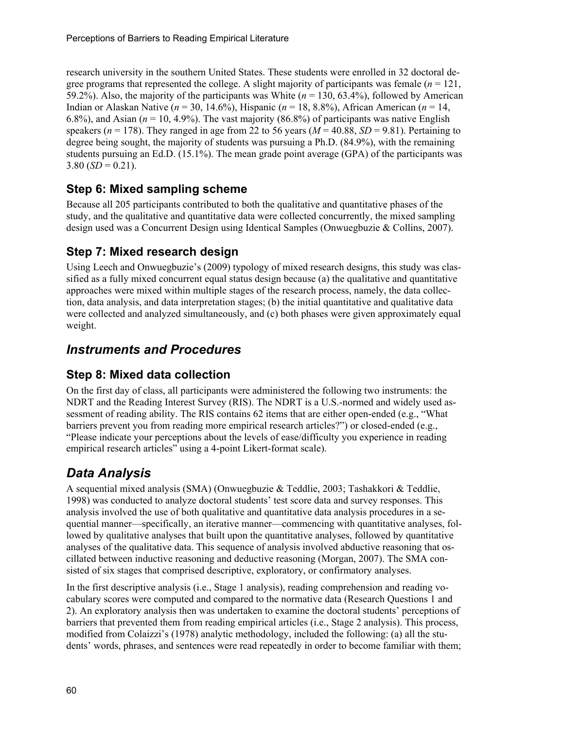research university in the southern United States. These students were enrolled in 32 doctoral degree programs that represented the college. A slight majority of participants was female  $(n = 121)$ , 59.2%). Also, the majority of the participants was White (*n* = 130, 63.4%), followed by American Indian or Alaskan Native (*n* = 30, 14.6%), Hispanic (*n* = 18, 8.8%), African American (*n* = 14, 6.8%), and Asian ( $n = 10, 4.9$ %). The vast majority (86.8%) of participants was native English speakers ( $n = 178$ ). They ranged in age from 22 to 56 years ( $M = 40.88$ ,  $SD = 9.81$ ). Pertaining to degree being sought, the majority of students was pursuing a Ph.D. (84.9%), with the remaining students pursuing an Ed.D. (15.1%). The mean grade point average (GPA) of the participants was  $3.80$  (*SD* = 0.21).

#### **Step 6: Mixed sampling scheme**

Because all 205 participants contributed to both the qualitative and quantitative phases of the study, and the qualitative and quantitative data were collected concurrently, the mixed sampling design used was a Concurrent Design using Identical Samples (Onwuegbuzie & Collins, 2007).

### **Step 7: Mixed research design**

Using Leech and Onwuegbuzie's (2009) typology of mixed research designs, this study was classified as a fully mixed concurrent equal status design because (a) the qualitative and quantitative approaches were mixed within multiple stages of the research process, namely, the data collection, data analysis, and data interpretation stages; (b) the initial quantitative and qualitative data were collected and analyzed simultaneously, and (c) both phases were given approximately equal weight.

# *Instruments and Procedures*

### **Step 8: Mixed data collection**

On the first day of class, all participants were administered the following two instruments: the NDRT and the Reading Interest Survey (RIS). The NDRT is a U.S.-normed and widely used assessment of reading ability. The RIS contains 62 items that are either open-ended (e.g., "What barriers prevent you from reading more empirical research articles?") or closed-ended (e.g., "Please indicate your perceptions about the levels of ease/difficulty you experience in reading empirical research articles" using a 4-point Likert-format scale).

# *Data Analysis*

A sequential mixed analysis (SMA) (Onwuegbuzie & Teddlie, 2003; Tashakkori & Teddlie, 1998) was conducted to analyze doctoral students' test score data and survey responses. This analysis involved the use of both qualitative and quantitative data analysis procedures in a sequential manner—specifically, an iterative manner—commencing with quantitative analyses, followed by qualitative analyses that built upon the quantitative analyses, followed by quantitative analyses of the qualitative data. This sequence of analysis involved abductive reasoning that oscillated between inductive reasoning and deductive reasoning (Morgan, 2007). The SMA consisted of six stages that comprised descriptive, exploratory, or confirmatory analyses.

In the first descriptive analysis (i.e., Stage 1 analysis), reading comprehension and reading vocabulary scores were computed and compared to the normative data (Research Questions 1 and 2). An exploratory analysis then was undertaken to examine the doctoral students' perceptions of barriers that prevented them from reading empirical articles (i.e., Stage 2 analysis). This process, modified from Colaizzi's (1978) analytic methodology, included the following: (a) all the students' words, phrases, and sentences were read repeatedly in order to become familiar with them;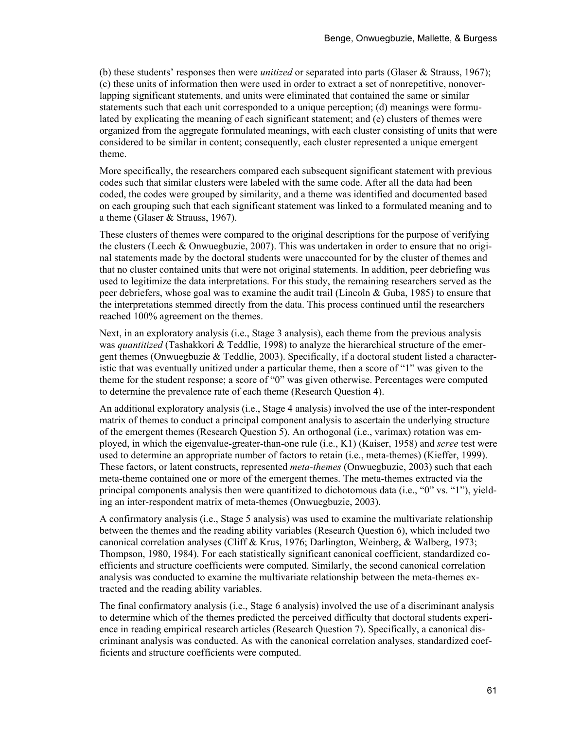(b) these students' responses then were *unitized* or separated into parts (Glaser & Strauss, 1967); (c) these units of information then were used in order to extract a set of nonrepetitive, nonoverlapping significant statements, and units were eliminated that contained the same or similar statements such that each unit corresponded to a unique perception; (d) meanings were formulated by explicating the meaning of each significant statement; and (e) clusters of themes were organized from the aggregate formulated meanings, with each cluster consisting of units that were considered to be similar in content; consequently, each cluster represented a unique emergent theme.

More specifically, the researchers compared each subsequent significant statement with previous codes such that similar clusters were labeled with the same code. After all the data had been coded, the codes were grouped by similarity, and a theme was identified and documented based on each grouping such that each significant statement was linked to a formulated meaning and to a theme (Glaser & Strauss, 1967).

These clusters of themes were compared to the original descriptions for the purpose of verifying the clusters (Leech & Onwuegbuzie, 2007). This was undertaken in order to ensure that no original statements made by the doctoral students were unaccounted for by the cluster of themes and that no cluster contained units that were not original statements. In addition, peer debriefing was used to legitimize the data interpretations. For this study, the remaining researchers served as the peer debriefers, whose goal was to examine the audit trail (Lincoln & Guba, 1985) to ensure that the interpretations stemmed directly from the data. This process continued until the researchers reached 100% agreement on the themes.

Next, in an exploratory analysis (i.e., Stage 3 analysis), each theme from the previous analysis was *quantitized* (Tashakkori & Teddlie, 1998) to analyze the hierarchical structure of the emergent themes (Onwuegbuzie & Teddlie, 2003). Specifically, if a doctoral student listed a characteristic that was eventually unitized under a particular theme, then a score of "1" was given to the theme for the student response; a score of "0" was given otherwise. Percentages were computed to determine the prevalence rate of each theme (Research Question 4).

An additional exploratory analysis (i.e., Stage 4 analysis) involved the use of the inter-respondent matrix of themes to conduct a principal component analysis to ascertain the underlying structure of the emergent themes (Research Question 5). An orthogonal (i.e., varimax) rotation was employed, in which the eigenvalue-greater-than-one rule (i.e., K1) (Kaiser, 1958) and *scree* test were used to determine an appropriate number of factors to retain (i.e., meta-themes) (Kieffer, 1999). These factors, or latent constructs, represented *meta-themes* (Onwuegbuzie, 2003) such that each meta-theme contained one or more of the emergent themes. The meta-themes extracted via the principal components analysis then were quantitized to dichotomous data (i.e., "0" vs. "1"), yielding an inter-respondent matrix of meta-themes (Onwuegbuzie, 2003).

A confirmatory analysis (i.e., Stage 5 analysis) was used to examine the multivariate relationship between the themes and the reading ability variables (Research Question 6), which included two canonical correlation analyses (Cliff & Krus, 1976; Darlington, Weinberg, & Walberg, 1973; Thompson, 1980, 1984). For each statistically significant canonical coefficient, standardized coefficients and structure coefficients were computed. Similarly, the second canonical correlation analysis was conducted to examine the multivariate relationship between the meta-themes extracted and the reading ability variables.

The final confirmatory analysis (i.e., Stage 6 analysis) involved the use of a discriminant analysis to determine which of the themes predicted the perceived difficulty that doctoral students experience in reading empirical research articles (Research Question 7). Specifically, a canonical discriminant analysis was conducted. As with the canonical correlation analyses, standardized coefficients and structure coefficients were computed.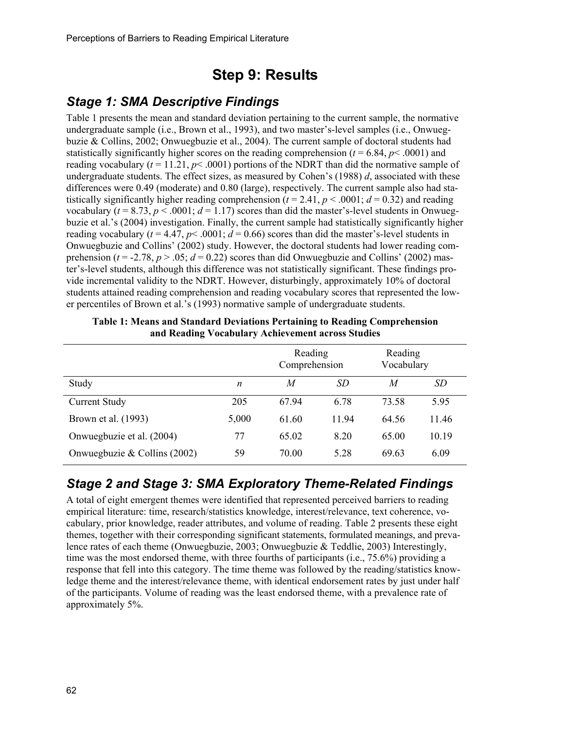# **Step 9: Results**

### *Stage 1: SMA Descriptive Findings*

Table 1 presents the mean and standard deviation pertaining to the current sample, the normative undergraduate sample (i.e., Brown et al., 1993), and two master's-level samples (i.e., Onwuegbuzie & Collins, 2002; Onwuegbuzie et al., 2004). The current sample of doctoral students had statistically significantly higher scores on the reading comprehension  $(t = 6.84, p < .0001)$  and reading vocabulary  $(t = 11.21, p < .0001)$  portions of the NDRT than did the normative sample of undergraduate students. The effect sizes, as measured by Cohen's (1988) *d*, associated with these differences were 0.49 (moderate) and 0.80 (large), respectively. The current sample also had statistically significantly higher reading comprehension  $(t = 2.41, p < .0001; d = 0.32)$  and reading vocabulary ( $t = 8.73$ ,  $p < .0001$ ;  $d = 1.17$ ) scores than did the master's-level students in Onwuegbuzie et al.'s (2004) investigation. Finally, the current sample had statistically significantly higher reading vocabulary ( $t = 4.47$ ,  $p < .0001$ ;  $d = 0.66$ ) scores than did the master's-level students in Onwuegbuzie and Collins' (2002) study. However, the doctoral students had lower reading comprehension ( $t = -2.78$ ,  $p > .05$ ;  $d = 0.22$ ) scores than did Onwuegbuzie and Collins' (2002) master's-level students, although this difference was not statistically significant. These findings provide incremental validity to the NDRT. However, disturbingly, approximately 10% of doctoral students attained reading comprehension and reading vocabulary scores that represented the lower percentiles of Brown et al.'s (1993) normative sample of undergraduate students.

|                                |                  | Reading<br>Comprehension |       | Reading<br>Vocabulary |           |
|--------------------------------|------------------|--------------------------|-------|-----------------------|-----------|
| Study                          | $\boldsymbol{n}$ | M                        | SD    | M                     | <i>SD</i> |
| <b>Current Study</b>           | 205              | 6794                     | 6.78  | 73.58                 | 5.95      |
| Brown et al. (1993)            | 5,000            | 61.60                    | 11.94 | 64.56                 | 11.46     |
| Onwuegbuzie et al. (2004)      | 77               | 65.02                    | 8.20  | 65.00                 | 10.19     |
| Onwuegbuzie & Collins $(2002)$ | 59               | 70.00                    | 5.28  | 69.63                 | 6.09      |

**Table 1: Means and Standard Deviations Pertaining to Reading Comprehension and Reading Vocabulary Achievement across Studies** 

#### *Stage 2 and Stage 3: SMA Exploratory Theme-Related Findings*

A total of eight emergent themes were identified that represented perceived barriers to reading empirical literature: time, research/statistics knowledge, interest/relevance, text coherence, vocabulary, prior knowledge, reader attributes, and volume of reading. Table 2 presents these eight themes, together with their corresponding significant statements, formulated meanings, and prevalence rates of each theme (Onwuegbuzie, 2003; Onwuegbuzie & Teddlie, 2003) Interestingly, time was the most endorsed theme, with three fourths of participants (i.e., 75.6%) providing a response that fell into this category. The time theme was followed by the reading/statistics knowledge theme and the interest/relevance theme, with identical endorsement rates by just under half of the participants. Volume of reading was the least endorsed theme, with a prevalence rate of approximately 5%.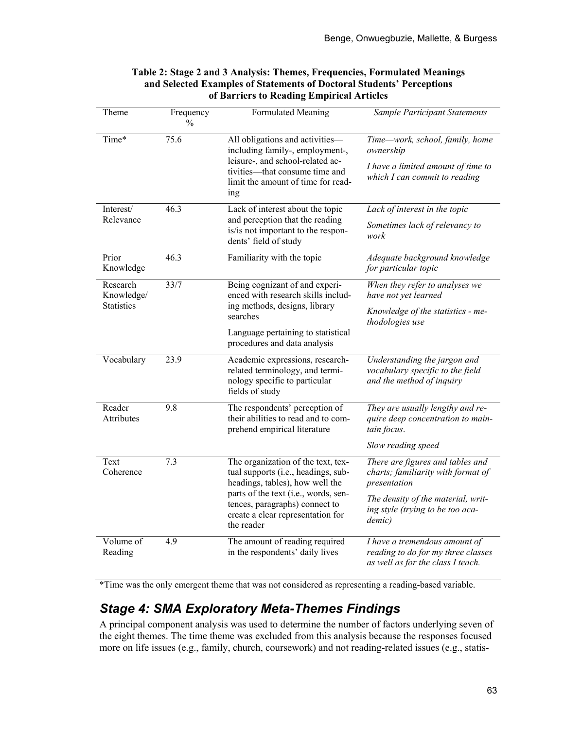| Theme                       | Frequency<br>$\frac{0}{0}$                                                                                                | Formulated Meaning                                                                                                     | Sample Participant Statements                                                                            |  |
|-----------------------------|---------------------------------------------------------------------------------------------------------------------------|------------------------------------------------------------------------------------------------------------------------|----------------------------------------------------------------------------------------------------------|--|
| Time*                       | 75.6                                                                                                                      | All obligations and activities-<br>including family-, employment-,                                                     | Time-work, school, family, home<br>ownership                                                             |  |
|                             |                                                                                                                           | leisure-, and school-related ac-<br>tivities-that consume time and<br>limit the amount of time for read-<br>ing        | I have a limited amount of time to<br>which I can commit to reading                                      |  |
| Interest/                   | 46.3                                                                                                                      | Lack of interest about the topic                                                                                       | Lack of interest in the topic                                                                            |  |
| Relevance                   |                                                                                                                           | and perception that the reading<br>is/is not important to the respon-<br>dents' field of study                         | Sometimes lack of relevancy to<br>work                                                                   |  |
| Prior<br>Knowledge          | 46.3                                                                                                                      | Familiarity with the topic                                                                                             | Adequate background knowledge<br>for particular topic                                                    |  |
| Research<br>Knowledge/      | 33/7                                                                                                                      | Being cognizant of and experi-<br>enced with research skills includ-                                                   | When they refer to analyses we<br>have not yet learned                                                   |  |
|                             | <b>Statistics</b><br>ing methods, designs, library<br>searches                                                            |                                                                                                                        | Knowledge of the statistics - me-<br>thodologies use                                                     |  |
|                             |                                                                                                                           | Language pertaining to statistical<br>procedures and data analysis                                                     |                                                                                                          |  |
| Vocabulary                  | 23.9                                                                                                                      | Academic expressions, research-<br>related terminology, and termi-<br>nology specific to particular<br>fields of study | Understanding the jargon and<br>vocabulary specific to the field<br>and the method of inquiry            |  |
| Reader<br><b>Attributes</b> | 9.8                                                                                                                       | The respondents' perception of<br>their abilities to read and to com-<br>prehend empirical literature                  | They are usually lengthy and re-<br>quire deep concentration to main-<br>tain focus.                     |  |
|                             |                                                                                                                           |                                                                                                                        | Slow reading speed                                                                                       |  |
| Text<br>Coherence           | 7.3                                                                                                                       | The organization of the text, tex-<br>tual supports (i.e., headings, sub-<br>headings, tables), how well the           | There are figures and tables and<br>charts; familiarity with format of<br>presentation                   |  |
|                             | parts of the text (i.e., words, sen-<br>tences, paragraphs) connect to<br>create a clear representation for<br>the reader |                                                                                                                        | The density of the material, writ-<br>ing style (trying to be too aca-<br>demic)                         |  |
| Volume of<br>Reading        | 4.9                                                                                                                       | The amount of reading required<br>in the respondents' daily lives                                                      | I have a tremendous amount of<br>reading to do for my three classes<br>as well as for the class I teach. |  |

#### **Table 2: Stage 2 and 3 Analysis: Themes, Frequencies, Formulated Meanings and Selected Examples of Statements of Doctoral Students' Perceptions of Barriers to Reading Empirical Articles**

\*Time was the only emergent theme that was not considered as representing a reading-based variable.

# *Stage 4: SMA Exploratory Meta-Themes Findings*

A principal component analysis was used to determine the number of factors underlying seven of the eight themes. The time theme was excluded from this analysis because the responses focused more on life issues (e.g., family, church, coursework) and not reading-related issues (e.g., statis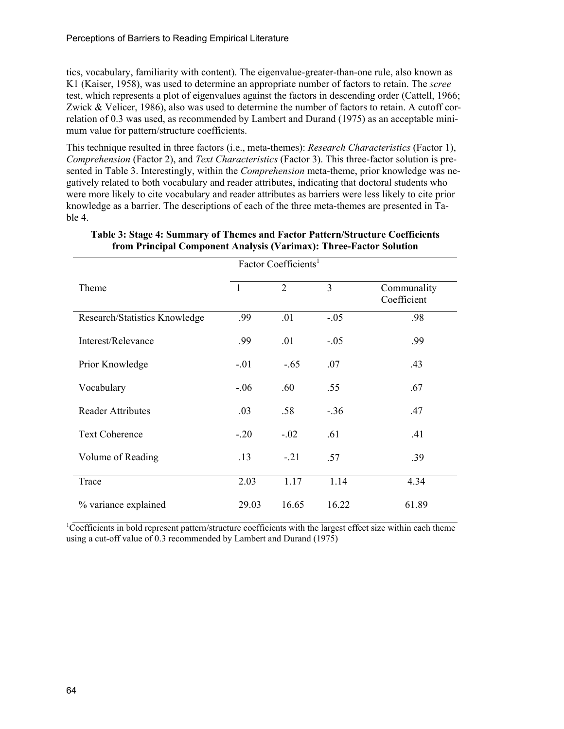tics, vocabulary, familiarity with content). The eigenvalue-greater-than-one rule, also known as K1 (Kaiser, 1958), was used to determine an appropriate number of factors to retain. The *scree* test, which represents a plot of eigenvalues against the factors in descending order (Cattell, 1966; Zwick & Velicer, 1986), also was used to determine the number of factors to retain. A cutoff correlation of 0.3 was used, as recommended by Lambert and Durand (1975) as an acceptable minimum value for pattern/structure coefficients.

This technique resulted in three factors (i.e., meta-themes): *Research Characteristics* (Factor 1), *Comprehension* (Factor 2), and *Text Characteristics* (Factor 3). This three-factor solution is presented in Table 3. Interestingly, within the *Comprehension* meta-theme, prior knowledge was negatively related to both vocabulary and reader attributes, indicating that doctoral students who were more likely to cite vocabulary and reader attributes as barriers were less likely to cite prior knowledge as a barrier. The descriptions of each of the three meta-themes are presented in Table 4.

|                               | Factor Coefficients <sup>1</sup> |                             |                |                            |
|-------------------------------|----------------------------------|-----------------------------|----------------|----------------------------|
| Theme                         | $\overline{1}$                   | $\mathcal{D}_{\mathcal{L}}$ | $\overline{3}$ | Communality<br>Coefficient |
| Research/Statistics Knowledge | .99                              | .01                         | $-.05$         | .98                        |
| Interest/Relevance            | .99                              | .01                         | $-.05$         | .99                        |
| Prior Knowledge               | $-.01$                           | $-.65$                      | .07            | .43                        |
| Vocabulary                    | $-.06$                           | .60                         | .55            | .67                        |
| <b>Reader Attributes</b>      | .03                              | .58                         | $-.36$         | .47                        |
| <b>Text Coherence</b>         | $-20$                            | $-.02$                      | .61            | .41                        |
| Volume of Reading             | .13                              | $-.21$                      | .57            | .39                        |
| Trace                         | 2.03                             | 1.17                        | 1.14           | 4.34                       |
| % variance explained          | 29.03                            | 16.65                       | 16.22          | 61.89                      |

#### **Table 3: Stage 4: Summary of Themes and Factor Pattern/Structure Coefficients from Principal Component Analysis (Varimax): Three-Factor Solution**

<sup>1</sup>Coefficients in bold represent pattern/structure coefficients with the largest effect size within each theme using a cut-off value of 0.3 recommended by Lambert and Durand (1975)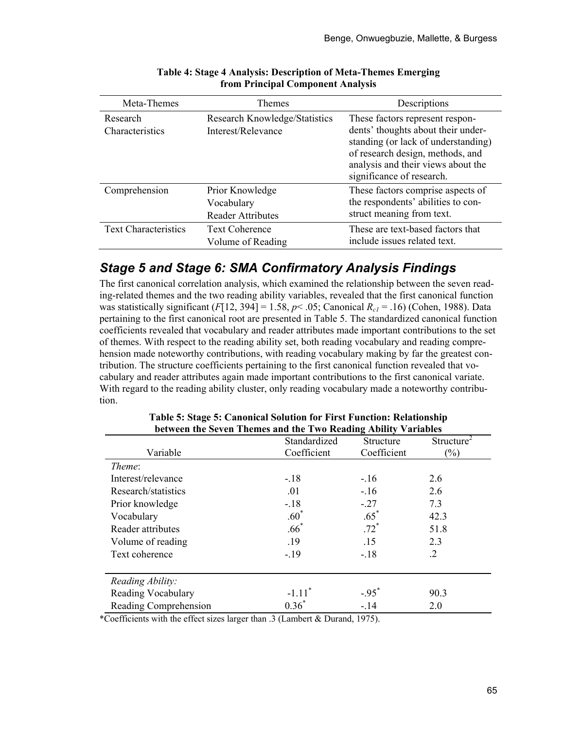| Meta-Themes                        | <b>Themes</b>                                             | Descriptions                                                                                                                                                                                                        |
|------------------------------------|-----------------------------------------------------------|---------------------------------------------------------------------------------------------------------------------------------------------------------------------------------------------------------------------|
| Research<br><b>Characteristics</b> | Research Knowledge/Statistics<br>Interest/Relevance       | These factors represent respon-<br>dents' thoughts about their under-<br>standing (or lack of understanding)<br>of research design, methods, and<br>analysis and their views about the<br>significance of research. |
| Comprehension                      | Prior Knowledge<br>Vocabulary<br><b>Reader Attributes</b> | These factors comprise aspects of<br>the respondents' abilities to con-<br>struct meaning from text.                                                                                                                |
| <b>Text Characteristics</b>        | <b>Text Coherence</b><br>Volume of Reading                | These are text-based factors that<br>include issues related text.                                                                                                                                                   |

#### **Table 4: Stage 4 Analysis: Description of Meta-Themes Emerging from Principal Component Analysis**

#### *Stage 5 and Stage 6: SMA Confirmatory Analysis Findings*

The first canonical correlation analysis, which examined the relationship between the seven reading-related themes and the two reading ability variables, revealed that the first canonical function was statistically significant  $(F[12, 394] = 1.58, p< .05$ ; Canonical  $R_{c1} = .16$ ) (Cohen, 1988). Data pertaining to the first canonical root are presented in Table 5. The standardized canonical function coefficients revealed that vocabulary and reader attributes made important contributions to the set of themes. With respect to the reading ability set, both reading vocabulary and reading comprehension made noteworthy contributions, with reading vocabulary making by far the greatest contribution. The structure coefficients pertaining to the first canonical function revealed that vocabulary and reader attributes again made important contributions to the first canonical variate. With regard to the reading ability cluster, only reading vocabulary made a noteworthy contribution.

| between the seven Themes and the Two iscauing Ability Variables | Standardized         | Structure   | Structure <sup><math>\overline{2}</math></sup> |
|-----------------------------------------------------------------|----------------------|-------------|------------------------------------------------|
| Variable                                                        | Coefficient          | Coefficient | $\frac{6}{6}$                                  |
| Theme:                                                          |                      |             |                                                |
| Interest/relevance                                              | $-.18$               | $-16$       | 2.6                                            |
| Research/statistics                                             | .01                  | $-.16$      | 2.6                                            |
| Prior knowledge                                                 | $-.18$               | $-.27$      | 7.3                                            |
| Vocabulary                                                      | $.60^*$              | $.65*$      | 42.3                                           |
| Reader attributes                                               | $.66*$               | $.72*$      | 51.8                                           |
| Volume of reading                                               | .19                  | .15         | 2.3                                            |
| Text coherence                                                  | $-19$                | $-.18$      | $\cdot$ 2                                      |
|                                                                 |                      |             |                                                |
| Reading Ability:                                                |                      |             |                                                |
| Reading Vocabulary                                              | $-1.11$ <sup>*</sup> | $-.95^*$    | 90.3                                           |
| Reading Comprehension                                           | $0.36*$              | $-.14$      | 2.0                                            |

#### **Table 5: Stage 5: Canonical Solution for First Function: Relationship between the Seven Themes and the Two Reading Ability Variables**

\*Coefficients with the effect sizes larger than .3 (Lambert & Durand, 1975).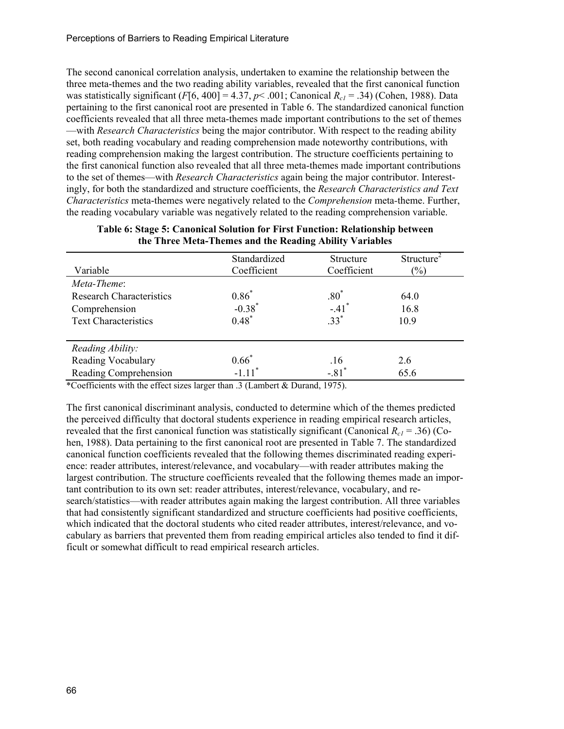The second canonical correlation analysis, undertaken to examine the relationship between the three meta-themes and the two reading ability variables, revealed that the first canonical function was statistically significant  $(F[6, 400] = 4.37, p < .001$ ; Canonical  $R_{c1} = .34$ ) (Cohen, 1988). Data pertaining to the first canonical root are presented in Table 6. The standardized canonical function coefficients revealed that all three meta-themes made important contributions to the set of themes —with *Research Characteristics* being the major contributor. With respect to the reading ability set, both reading vocabulary and reading comprehension made noteworthy contributions, with reading comprehension making the largest contribution. The structure coefficients pertaining to the first canonical function also revealed that all three meta-themes made important contributions to the set of themes—with *Research Characteristics* again being the major contributor. Interestingly, for both the standardized and structure coefficients, the *Research Characteristics and Text Characteristics* meta-themes were negatively related to the *Comprehension* meta*-*theme. Further, the reading vocabulary variable was negatively related to the reading comprehension variable.

|                                 | Standardized         | Structure           | Structure <sup>2</sup> |
|---------------------------------|----------------------|---------------------|------------------------|
| Variable                        | Coefficient          | Coefficient         | $(\%)$                 |
| Meta-Theme:                     |                      |                     |                        |
| <b>Research Characteristics</b> | $0.86^{*}$           | $.80*$              | 64.0                   |
| Comprehension                   | $-0.38$ <sup>*</sup> | $-.41$ <sup>*</sup> | 16.8                   |
| <b>Text Characteristics</b>     | $0.48*$              | $33*$               | 10.9                   |
| Reading Ability:                |                      |                     |                        |
| Reading Vocabulary              | $0.66*$              | .16                 | 2.6                    |
| Reading Comprehension           | $-1.11$ <sup>*</sup> | $-.81$ <sup>*</sup> | 65.6                   |

**Table 6: Stage 5: Canonical Solution for First Function: Relationship between the Three Meta-Themes and the Reading Ability Variables** 

\*Coefficients with the effect sizes larger than .3 (Lambert & Durand, 1975).

The first canonical discriminant analysis, conducted to determine which of the themes predicted the perceived difficulty that doctoral students experience in reading empirical research articles, revealed that the first canonical function was statistically significant (Canonical  $R_{c1}$  = .36) (Cohen, 1988). Data pertaining to the first canonical root are presented in Table 7. The standardized canonical function coefficients revealed that the following themes discriminated reading experience: reader attributes, interest/relevance, and vocabulary—with reader attributes making the largest contribution. The structure coefficients revealed that the following themes made an important contribution to its own set: reader attributes, interest/relevance, vocabulary, and research/statistics—with reader attributes again making the largest contribution. All three variables that had consistently significant standardized and structure coefficients had positive coefficients, which indicated that the doctoral students who cited reader attributes, interest/relevance, and vocabulary as barriers that prevented them from reading empirical articles also tended to find it difficult or somewhat difficult to read empirical research articles.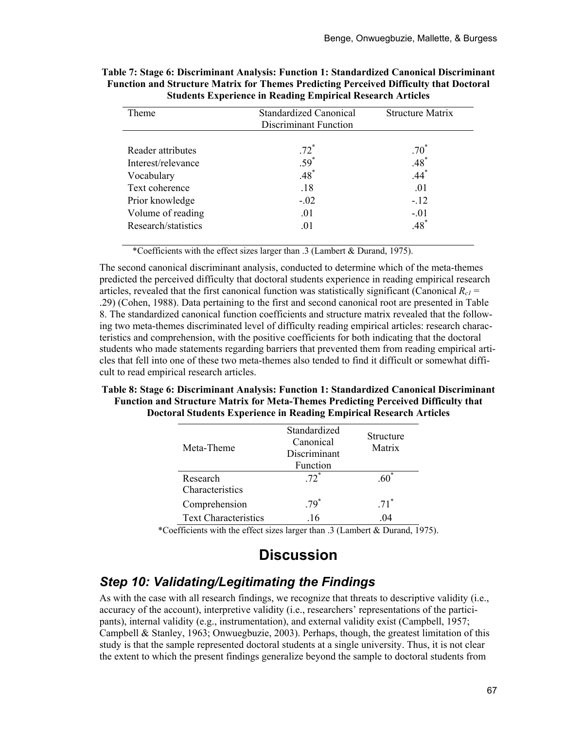| Theme               | <b>Standardized Canonical</b><br>Discriminant Function | <b>Structure Matrix</b> |
|---------------------|--------------------------------------------------------|-------------------------|
| Reader attributes   | $.72*$                                                 | $.70^*$                 |
| Interest/relevance  | $.59*$                                                 | $.48*$                  |
| Vocabulary          | $.48*$                                                 | $.44*$                  |
| Text coherence      | .18                                                    | .01                     |
| Prior knowledge     | $-.02$                                                 | $-.12$                  |
| Volume of reading   | .01                                                    | $-.01$                  |
| Research/statistics | .01                                                    | $.48*$                  |

| Table 7: Stage 6: Discriminant Analysis: Function 1: Standardized Canonical Discriminant      |
|-----------------------------------------------------------------------------------------------|
| <b>Function and Structure Matrix for Themes Predicting Perceived Difficulty that Doctoral</b> |
| <b>Students Experience in Reading Empirical Research Articles</b>                             |

\*Coefficients with the effect sizes larger than .3 (Lambert & Durand, 1975).

The second canonical discriminant analysis, conducted to determine which of the meta-themes predicted the perceived difficulty that doctoral students experience in reading empirical research articles, revealed that the first canonical function was statistically significant (Canonical  $R_c$ ) .29) (Cohen, 1988). Data pertaining to the first and second canonical root are presented in Table 8. The standardized canonical function coefficients and structure matrix revealed that the following two meta-themes discriminated level of difficulty reading empirical articles: research characteristics and comprehension, with the positive coefficients for both indicating that the doctoral students who made statements regarding barriers that prevented them from reading empirical articles that fell into one of these two meta-themes also tended to find it difficult or somewhat difficult to read empirical research articles.

#### **Table 8: Stage 6: Discriminant Analysis: Function 1: Standardized Canonical Discriminant Function and Structure Matrix for Meta-Themes Predicting Perceived Difficulty that Doctoral Students Experience in Reading Empirical Research Articles**

| Meta-Theme                  | Standardized<br>Canonical<br>Discriminant<br>Function | Structure<br>Matrix |
|-----------------------------|-------------------------------------------------------|---------------------|
| Research<br>Characteristics | $72^*$                                                | 60                  |
| Comprehension               | $79^*$                                                | $.71$ <sup>*</sup>  |
| <b>Text Characteristics</b> | 16                                                    | (1)4                |

\*Coefficients with the effect sizes larger than .3 (Lambert & Durand, 1975).

# **Discussion**

# *Step 10: Validating/Legitimating the Findings*

As with the case with all research findings, we recognize that threats to descriptive validity (i.e., accuracy of the account), interpretive validity (i.e., researchers' representations of the participants), internal validity (e.g., instrumentation), and external validity exist (Campbell, 1957; Campbell & Stanley, 1963; Onwuegbuzie, 2003). Perhaps, though, the greatest limitation of this study is that the sample represented doctoral students at a single university. Thus, it is not clear the extent to which the present findings generalize beyond the sample to doctoral students from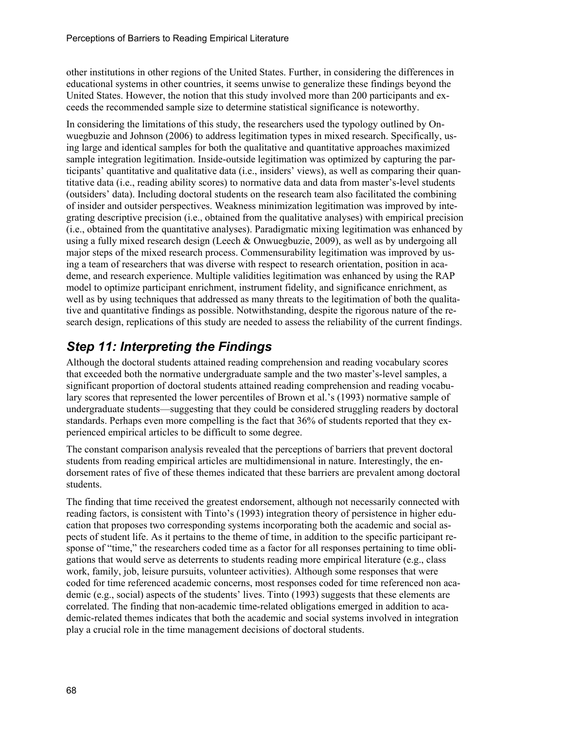other institutions in other regions of the United States. Further, in considering the differences in educational systems in other countries, it seems unwise to generalize these findings beyond the United States. However, the notion that this study involved more than 200 participants and exceeds the recommended sample size to determine statistical significance is noteworthy.

In considering the limitations of this study, the researchers used the typology outlined by Onwuegbuzie and Johnson (2006) to address legitimation types in mixed research. Specifically, using large and identical samples for both the qualitative and quantitative approaches maximized sample integration legitimation. Inside-outside legitimation was optimized by capturing the participants' quantitative and qualitative data (i.e., insiders' views), as well as comparing their quantitative data (i.e., reading ability scores) to normative data and data from master's-level students (outsiders' data). Including doctoral students on the research team also facilitated the combining of insider and outsider perspectives. Weakness minimization legitimation was improved by integrating descriptive precision (i.e., obtained from the qualitative analyses) with empirical precision (i.e., obtained from the quantitative analyses). Paradigmatic mixing legitimation was enhanced by using a fully mixed research design (Leech & Onwuegbuzie, 2009), as well as by undergoing all major steps of the mixed research process. Commensurability legitimation was improved by using a team of researchers that was diverse with respect to research orientation, position in academe, and research experience. Multiple validities legitimation was enhanced by using the RAP model to optimize participant enrichment, instrument fidelity, and significance enrichment, as well as by using techniques that addressed as many threats to the legitimation of both the qualitative and quantitative findings as possible. Notwithstanding, despite the rigorous nature of the research design, replications of this study are needed to assess the reliability of the current findings.

# *Step 11: Interpreting the Findings*

Although the doctoral students attained reading comprehension and reading vocabulary scores that exceeded both the normative undergraduate sample and the two master's-level samples, a significant proportion of doctoral students attained reading comprehension and reading vocabulary scores that represented the lower percentiles of Brown et al.'s (1993) normative sample of undergraduate students—suggesting that they could be considered struggling readers by doctoral standards. Perhaps even more compelling is the fact that 36% of students reported that they experienced empirical articles to be difficult to some degree.

The constant comparison analysis revealed that the perceptions of barriers that prevent doctoral students from reading empirical articles are multidimensional in nature. Interestingly, the endorsement rates of five of these themes indicated that these barriers are prevalent among doctoral students.

The finding that time received the greatest endorsement, although not necessarily connected with reading factors, is consistent with Tinto's (1993) integration theory of persistence in higher education that proposes two corresponding systems incorporating both the academic and social aspects of student life. As it pertains to the theme of time, in addition to the specific participant response of "time," the researchers coded time as a factor for all responses pertaining to time obligations that would serve as deterrents to students reading more empirical literature (e.g., class work, family, job, leisure pursuits, volunteer activities). Although some responses that were coded for time referenced academic concerns, most responses coded for time referenced non academic (e.g., social) aspects of the students' lives. Tinto (1993) suggests that these elements are correlated. The finding that non-academic time-related obligations emerged in addition to academic-related themes indicates that both the academic and social systems involved in integration play a crucial role in the time management decisions of doctoral students.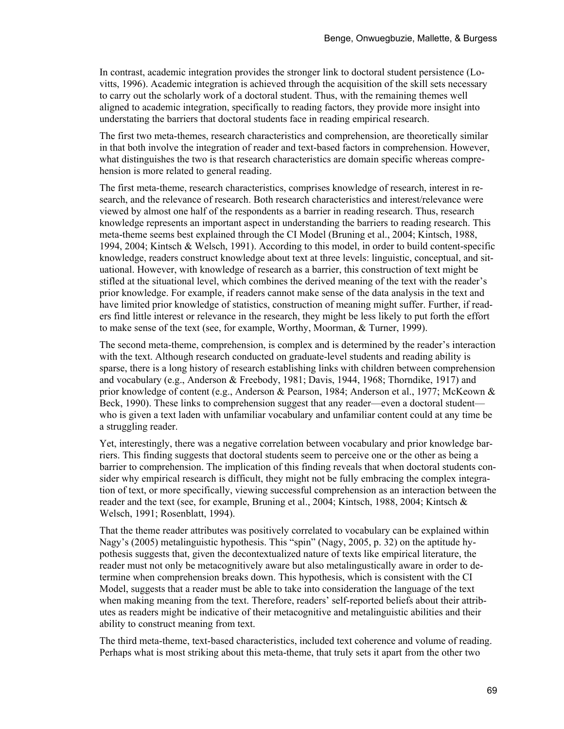In contrast, academic integration provides the stronger link to doctoral student persistence (Lovitts, 1996). Academic integration is achieved through the acquisition of the skill sets necessary to carry out the scholarly work of a doctoral student. Thus, with the remaining themes well aligned to academic integration, specifically to reading factors, they provide more insight into understating the barriers that doctoral students face in reading empirical research.

The first two meta-themes, research characteristics and comprehension, are theoretically similar in that both involve the integration of reader and text-based factors in comprehension. However, what distinguishes the two is that research characteristics are domain specific whereas comprehension is more related to general reading.

The first meta-theme, research characteristics, comprises knowledge of research, interest in research, and the relevance of research. Both research characteristics and interest/relevance were viewed by almost one half of the respondents as a barrier in reading research. Thus, research knowledge represents an important aspect in understanding the barriers to reading research. This meta-theme seems best explained through the CI Model (Bruning et al., 2004; Kintsch, 1988, 1994, 2004; Kintsch & Welsch, 1991). According to this model, in order to build content-specific knowledge, readers construct knowledge about text at three levels: linguistic, conceptual, and situational. However, with knowledge of research as a barrier, this construction of text might be stifled at the situational level, which combines the derived meaning of the text with the reader's prior knowledge. For example, if readers cannot make sense of the data analysis in the text and have limited prior knowledge of statistics, construction of meaning might suffer. Further, if readers find little interest or relevance in the research, they might be less likely to put forth the effort to make sense of the text (see, for example, Worthy, Moorman, & Turner, 1999).

The second meta-theme, comprehension, is complex and is determined by the reader's interaction with the text. Although research conducted on graduate-level students and reading ability is sparse, there is a long history of research establishing links with children between comprehension and vocabulary (e.g., Anderson & Freebody, 1981; Davis, 1944, 1968; Thorndike, 1917) and prior knowledge of content (e.g., Anderson & Pearson, 1984; Anderson et al., 1977; McKeown & Beck, 1990). These links to comprehension suggest that any reader—even a doctoral student who is given a text laden with unfamiliar vocabulary and unfamiliar content could at any time be a struggling reader.

Yet, interestingly, there was a negative correlation between vocabulary and prior knowledge barriers. This finding suggests that doctoral students seem to perceive one or the other as being a barrier to comprehension. The implication of this finding reveals that when doctoral students consider why empirical research is difficult, they might not be fully embracing the complex integration of text, or more specifically, viewing successful comprehension as an interaction between the reader and the text (see, for example, Bruning et al., 2004; Kintsch, 1988, 2004; Kintsch & Welsch, 1991; Rosenblatt, 1994).

That the theme reader attributes was positively correlated to vocabulary can be explained within Nagy's (2005) metalinguistic hypothesis. This "spin" (Nagy, 2005, p. 32) on the aptitude hypothesis suggests that, given the decontextualized nature of texts like empirical literature, the reader must not only be metacognitively aware but also metalingustically aware in order to determine when comprehension breaks down. This hypothesis, which is consistent with the CI Model, suggests that a reader must be able to take into consideration the language of the text when making meaning from the text. Therefore, readers' self-reported beliefs about their attributes as readers might be indicative of their metacognitive and metalinguistic abilities and their ability to construct meaning from text.

The third meta-theme, text-based characteristics, included text coherence and volume of reading. Perhaps what is most striking about this meta-theme, that truly sets it apart from the other two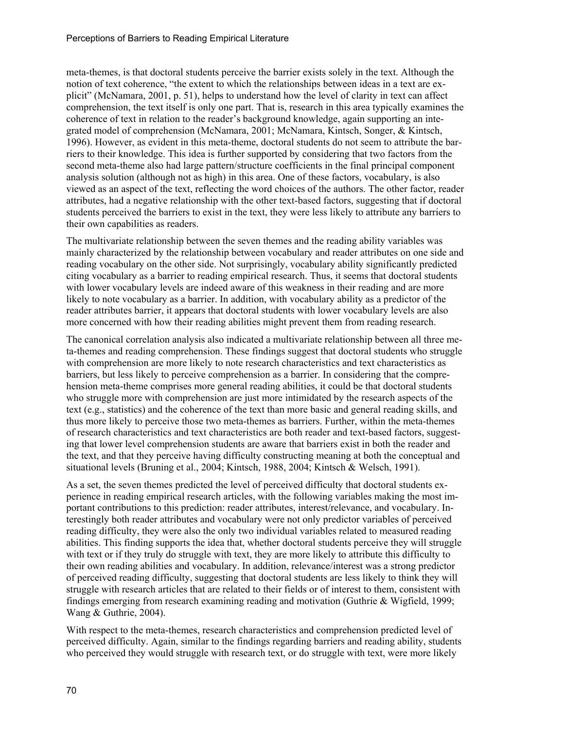meta-themes, is that doctoral students perceive the barrier exists solely in the text. Although the notion of text coherence, "the extent to which the relationships between ideas in a text are explicit" (McNamara, 2001, p. 51), helps to understand how the level of clarity in text can affect comprehension, the text itself is only one part. That is, research in this area typically examines the coherence of text in relation to the reader's background knowledge, again supporting an integrated model of comprehension (McNamara, 2001; McNamara, Kintsch, Songer, & Kintsch, 1996). However, as evident in this meta-theme, doctoral students do not seem to attribute the barriers to their knowledge. This idea is further supported by considering that two factors from the second meta-theme also had large pattern/structure coefficients in the final principal component analysis solution (although not as high) in this area. One of these factors, vocabulary, is also viewed as an aspect of the text, reflecting the word choices of the authors. The other factor, reader attributes, had a negative relationship with the other text-based factors, suggesting that if doctoral students perceived the barriers to exist in the text, they were less likely to attribute any barriers to their own capabilities as readers.

The multivariate relationship between the seven themes and the reading ability variables was mainly characterized by the relationship between vocabulary and reader attributes on one side and reading vocabulary on the other side. Not surprisingly, vocabulary ability significantly predicted citing vocabulary as a barrier to reading empirical research. Thus, it seems that doctoral students with lower vocabulary levels are indeed aware of this weakness in their reading and are more likely to note vocabulary as a barrier. In addition, with vocabulary ability as a predictor of the reader attributes barrier, it appears that doctoral students with lower vocabulary levels are also more concerned with how their reading abilities might prevent them from reading research.

The canonical correlation analysis also indicated a multivariate relationship between all three meta-themes and reading comprehension. These findings suggest that doctoral students who struggle with comprehension are more likely to note research characteristics and text characteristics as barriers, but less likely to perceive comprehension as a barrier. In considering that the comprehension meta-theme comprises more general reading abilities, it could be that doctoral students who struggle more with comprehension are just more intimidated by the research aspects of the text (e.g., statistics) and the coherence of the text than more basic and general reading skills, and thus more likely to perceive those two meta-themes as barriers. Further, within the meta-themes of research characteristics and text characteristics are both reader and text-based factors, suggesting that lower level comprehension students are aware that barriers exist in both the reader and the text, and that they perceive having difficulty constructing meaning at both the conceptual and situational levels (Bruning et al., 2004; Kintsch, 1988, 2004; Kintsch & Welsch, 1991).

As a set, the seven themes predicted the level of perceived difficulty that doctoral students experience in reading empirical research articles, with the following variables making the most important contributions to this prediction: reader attributes, interest/relevance, and vocabulary. Interestingly both reader attributes and vocabulary were not only predictor variables of perceived reading difficulty, they were also the only two individual variables related to measured reading abilities. This finding supports the idea that, whether doctoral students perceive they will struggle with text or if they truly do struggle with text, they are more likely to attribute this difficulty to their own reading abilities and vocabulary. In addition, relevance/interest was a strong predictor of perceived reading difficulty, suggesting that doctoral students are less likely to think they will struggle with research articles that are related to their fields or of interest to them, consistent with findings emerging from research examining reading and motivation (Guthrie & Wigfield, 1999; Wang & Guthrie, 2004).

With respect to the meta-themes, research characteristics and comprehension predicted level of perceived difficulty. Again, similar to the findings regarding barriers and reading ability, students who perceived they would struggle with research text, or do struggle with text, were more likely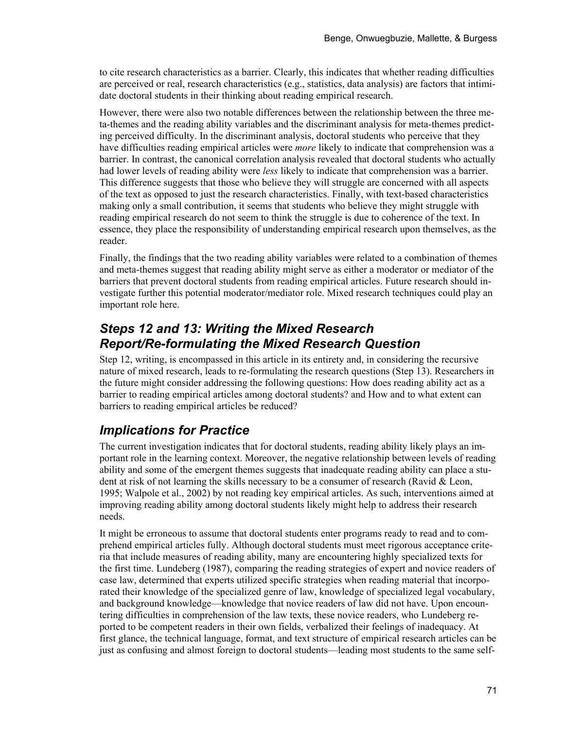to cite research characteristics as a barrier. Clearly, this indicates that whether reading difficulties are perceived or real, research characteristics (e.g., statistics, data analysis) are factors that intimidate doctoral students in their thinking about reading empirical research.

However, there were also two notable differences between the relationship between the three meta-themes and the reading ability variables and the discriminant analysis for meta-themes predicting perceived difficulty. In the discriminant analysis, doctoral students who perceive that they have difficulties reading empirical articles were *more* likely to indicate that comprehension was a barrier. In contrast, the canonical correlation analysis revealed that doctoral students who actually had lower levels of reading ability were *less* likely to indicate that comprehension was a barrier. This difference suggests that those who believe they will struggle are concerned with all aspects of the text as opposed to just the research characteristics. Finally, with text-based characteristics making only a small contribution, it seems that students who believe they might struggle with reading empirical research do not seem to think the struggle is due to coherence of the text. In essence, they place the responsibility of understanding empirical research upon themselves, as the reader.

Finally, the findings that the two reading ability variables were related to a combination of themes and meta-themes suggest that reading ability might serve as either a moderator or mediator of the barriers that prevent doctoral students from reading empirical articles. Future research should investigate further this potential moderator/mediator role. Mixed research techniques could play an important role here.

#### *Steps 12 and 13: Writing the Mixed Research Report/Re-formulating the Mixed Research Question*

Step 12, writing, is encompassed in this article in its entirety and, in considering the recursive nature of mixed research, leads to re-formulating the research questions (Step 13). Researchers in the future might consider addressing the following questions: How does reading ability act as a barrier to reading empirical articles among doctoral students? and How and to what extent can barriers to reading empirical articles be reduced?

#### *Implications for Practice*

The current investigation indicates that for doctoral students, reading ability likely plays an important role in the learning context. Moreover, the negative relationship between levels of reading ability and some of the emergent themes suggests that inadequate reading ability can place a student at risk of not learning the skills necessary to be a consumer of research (Ravid  $\&$  Leon, 1995; Walpole et al., 2002) by not reading key empirical articles. As such, interventions aimed at improving reading ability among doctoral students likely might help to address their research needs.

It might be erroneous to assume that doctoral students enter programs ready to read and to comprehend empirical articles fully. Although doctoral students must meet rigorous acceptance criteria that include measures of reading ability, many are encountering highly specialized texts for the first time. Lundeberg (1987), comparing the reading strategies of expert and novice readers of case law, determined that experts utilized specific strategies when reading material that incorporated their knowledge of the specialized genre of law, knowledge of specialized legal vocabulary, and background knowledge—knowledge that novice readers of law did not have. Upon encountering difficulties in comprehension of the law texts, these novice readers, who Lundeberg reported to be competent readers in their own fields, verbalized their feelings of inadequacy. At first glance, the technical language, format, and text structure of empirical research articles can be just as confusing and almost foreign to doctoral students—leading most students to the same self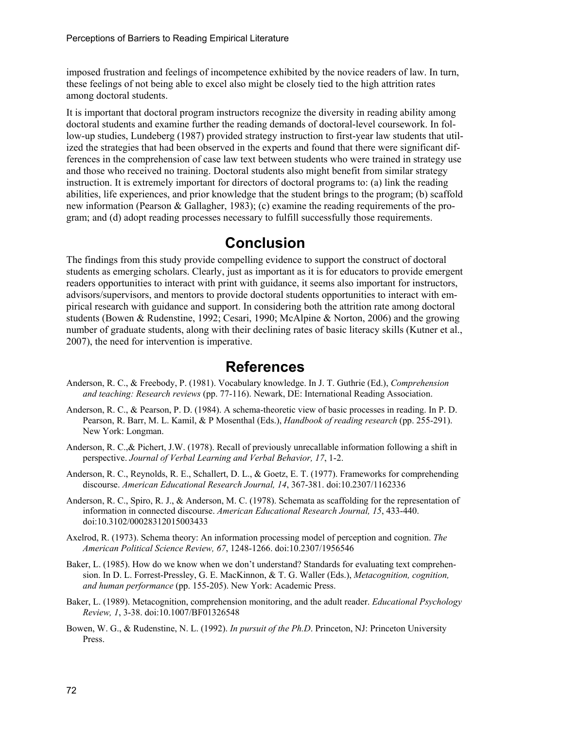imposed frustration and feelings of incompetence exhibited by the novice readers of law. In turn, these feelings of not being able to excel also might be closely tied to the high attrition rates among doctoral students.

It is important that doctoral program instructors recognize the diversity in reading ability among doctoral students and examine further the reading demands of doctoral-level coursework. In follow-up studies, Lundeberg (1987) provided strategy instruction to first-year law students that utilized the strategies that had been observed in the experts and found that there were significant differences in the comprehension of case law text between students who were trained in strategy use and those who received no training. Doctoral students also might benefit from similar strategy instruction. It is extremely important for directors of doctoral programs to: (a) link the reading abilities, life experiences, and prior knowledge that the student brings to the program; (b) scaffold new information (Pearson & Gallagher, 1983); (c) examine the reading requirements of the program; and (d) adopt reading processes necessary to fulfill successfully those requirements.

### **Conclusion**

The findings from this study provide compelling evidence to support the construct of doctoral students as emerging scholars. Clearly, just as important as it is for educators to provide emergent readers opportunities to interact with print with guidance, it seems also important for instructors, advisors/supervisors, and mentors to provide doctoral students opportunities to interact with empirical research with guidance and support. In considering both the attrition rate among doctoral students (Bowen & Rudenstine, 1992; Cesari, 1990; McAlpine & Norton, 2006) and the growing number of graduate students, along with their declining rates of basic literacy skills (Kutner et al., 2007), the need for intervention is imperative.

#### **References**

- Anderson, R. C., & Freebody, P. (1981). Vocabulary knowledge. In J. T. Guthrie (Ed.), *Comprehension and teaching: Research reviews* (pp. 77-116). Newark, DE: International Reading Association.
- Anderson, R. C., & Pearson, P. D. (1984). A schema-theoretic view of basic processes in reading. In P. D. Pearson, R. Barr, M. L. Kamil, & P Mosenthal (Eds.), *Handbook of reading research* (pp. 255-291). New York: Longman.
- Anderson, R. C.,& Pichert, J.W. (1978). Recall of previously unrecallable information following a shift in perspective. *Journal of Verbal Learning and Verbal Behavior, 17*, 1-2.
- Anderson, R. C., Reynolds, R. E., Schallert, D. L., & Goetz, E. T. (1977). Frameworks for comprehending discourse. *American Educational Research Journal, 14*, 367-381. [doi:10.2307/1162336](http://dx.doi.org/10.2307/1162336)
- Anderson, R. C., Spiro, R. J., & Anderson, M. C. (1978). Schemata as scaffolding for the representation of information in connected discourse. *American Educational Research Journal, 15*, 433-440. [doi:10.3102/00028312015003433](http://dx.doi.org/10.3102/00028312015003433)
- Axelrod, R. (1973). Schema theory: An information processing model of perception and cognition. *The American Political Science Review, 67*, 1248-1266. [doi:10.2307/1956546](http://dx.doi.org/10.2307/1956546)
- Baker, L. (1985). How do we know when we don't understand? Standards for evaluating text comprehension. In D. L. Forrest-Pressley, G. E. MacKinnon, & T. G. Waller (Eds.), *Metacognition, cognition, and human performance* (pp. 155-205). New York: Academic Press.
- Baker, L. (1989). Metacognition, comprehension monitoring, and the adult reader. *Educational Psychology Review, 1*, 3-38. [doi:10.1007/BF01326548](http://dx.doi.org/10.1007/BF01326548)
- Bowen, W. G., & Rudenstine, N. L. (1992). *In pursuit of the Ph.D*. Princeton, NJ: Princeton University Press.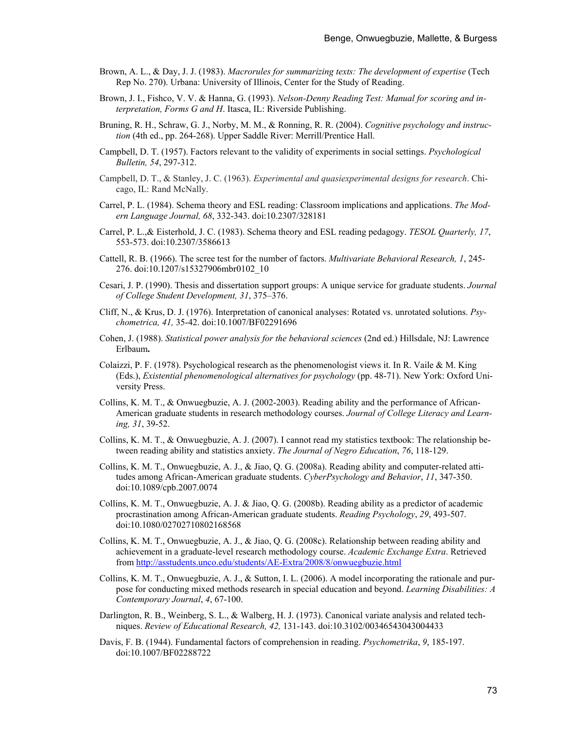- Brown, A. L., & Day, J. J. (1983). *Macrorules for summarizing texts: The development of expertise* (Tech Rep No. 270). Urbana: University of Illinois, Center for the Study of Reading.
- Brown, J. I., Fishco, V. V. & Hanna, G. (1993). *Nelson-Denny Reading Test: Manual for scoring and interpretation, Forms G and H*. Itasca, IL: Riverside Publishing.
- Bruning, R. H., Schraw, G. J., Norby, M. M., & Ronning, R. R. (2004). *Cognitive psychology and instruction* (4th ed., pp. 264-268). Upper Saddle River: Merrill/Prentice Hall.
- Campbell, D. T. (1957). Factors relevant to the validity of experiments in social settings. *Psychological Bulletin, 54*, 297-312.
- Campbell, D. T., & Stanley, J. C. (1963). *Experimental and quasiexperimental designs for research*. Chicago, IL: Rand McNally.
- Carrel, P. L. (1984). Schema theory and ESL reading: Classroom implications and applications. *The Modern Language Journal, 68*, 332-343. [doi:10.2307/328181](http://dx.doi.org/10.2307/328181)
- Carrel, P. L.,& Eisterhold, J. C. (1983). Schema theory and ESL reading pedagogy. *TESOL Quarterly, 17*, 553-573. [doi:10.2307/3586613](http://dx.doi.org/10.2307/3586613)
- Cattell, R. B. (1966). The scree test for the number of factors. *Multivariate Behavioral Research, 1*, 245- 276. [doi:10.1207/s15327906mbr0102\\_10](http://dx.doi.org/10.1207/s15327906mbr0102_10)
- Cesari, J. P. (1990). Thesis and dissertation support groups: A unique service for graduate students. *Journal of College Student Development, 31*, 375–376.
- Cliff, N., & Krus, D. J. (1976). Interpretation of canonical analyses: Rotated vs. unrotated solutions. *Psychometrica, 41,* 35-42. [doi:10.1007/BF02291696](http://dx.doi.org/10.1007/BF02291696)
- Cohen, J. (1988). *Statistical power analysis for the behavioral sciences* (2nd ed.) Hillsdale, NJ: Lawrence Erlbaum**.**
- Colaizzi, P. F. (1978). Psychological research as the phenomenologist views it. In R. Vaile & M. King (Eds.), *Existential phenomenological alternatives for psychology* (pp. 48-71). New York: Oxford University Press.
- Collins, K. M. T., & Onwuegbuzie, A. J. (2002-2003). Reading ability and the performance of African-American graduate students in research methodology courses. *Journal of College Literacy and Learning, 31*, 39-52.
- Collins, K. M. T., & Onwuegbuzie, A. J. (2007). I cannot read my statistics textbook: The relationship between reading ability and statistics anxiety. *The Journal of Negro Education*, *76*, 118-129.
- Collins, K. M. T., Onwuegbuzie, A. J., & Jiao, Q. G. (2008a). Reading ability and computer-related attitudes among African-American graduate students. *CyberPsychology and Behavior*, *11*, 347-350. [doi:10.1089/cpb.2007.0074](http://dx.doi.org/10.1089/cpb.2007.0074)
- Collins, K. M. T., Onwuegbuzie, A. J. & Jiao, Q. G. (2008b). Reading ability as a predictor of academic procrastination among African-American graduate students. *Reading Psychology*, *29*, 493-507. [doi:10.1080/02702710802168568](http://dx.doi.org/10.1080/02702710802168568)
- Collins, K. M. T., Onwuegbuzie, A. J., & Jiao, Q. G. (2008c). Relationship between reading ability and achievement in a graduate-level research methodology course. *Academic Exchange Extra*. Retrieved from <http://asstudents.unco.edu/students/AE-Extra/2008/8/onwuegbuzie.html>
- Collins, K. M. T., Onwuegbuzie, A. J., & Sutton, I. L. (2006). A model incorporating the rationale and purpose for conducting mixed methods research in special education and beyond. *Learning Disabilities: A Contemporary Journal*, *4*, 67-100.
- Darlington, R. B., Weinberg, S. L., & Walberg, H. J. (1973). Canonical variate analysis and related techniques. *Review of Educational Research, 42,* 131-143. [doi:10.3102/00346543043004433](http://dx.doi.org/10.3102/00346543043004433)
- Davis, F. B. (1944). Fundamental factors of comprehension in reading. *Psychometrika*, *9*, 185-197. [doi:10.1007/BF02288722](http://dx.doi.org/10.1007/BF02288722)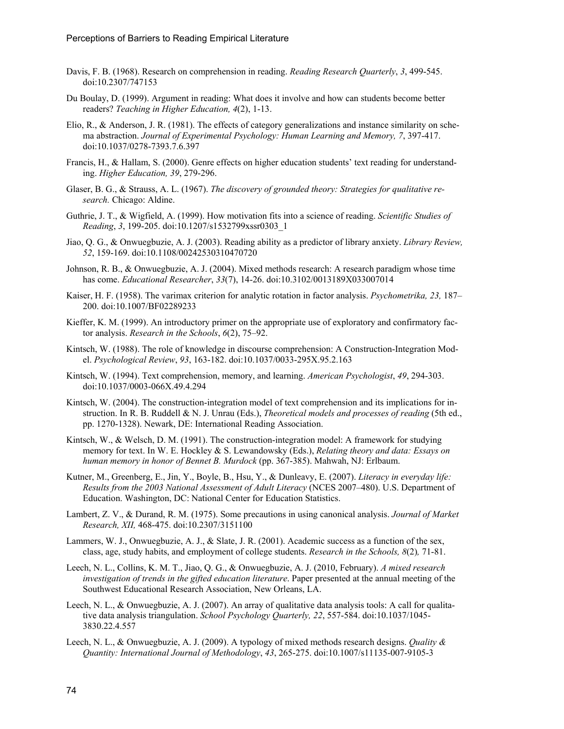- Davis, F. B. (1968). Research on comprehension in reading. *Reading Research Quarterly*, *3*, 499-545. [doi:10.2307/747153](http://dx.doi.org/10.2307/747153)
- Du Boulay, D. (1999). Argument in reading: What does it involve and how can students become better readers? *Teaching in Higher Education, 4*(2), 1-13.
- Elio, R., & Anderson, J. R. (1981). The effects of category generalizations and instance similarity on schema abstraction. *Journal of Experimental Psychology: Human Learning and Memory, 7*, 397-417. [doi:10.1037/0278-7393.7.6.397](http://dx.doi.org/10.1037/0278-7393.7.6.397)
- Francis, H., & Hallam, S. (2000). Genre effects on higher education students' text reading for understanding. *Higher Education, 39*, 279-296.
- Glaser, B. G., & Strauss, A. L. (1967). *The discovery of grounded theory: Strategies for qualitative research.* Chicago: Aldine.
- Guthrie, J. T., & Wigfield, A. (1999). How motivation fits into a science of reading. *Scientific Studies of Reading*, *3*, 199-205. [doi:10.1207/s1532799xssr0303\\_1](http://dx.doi.org/10.1207/s1532799xssr0303_1)
- Jiao, Q. G., & Onwuegbuzie, A. J. (2003). Reading ability as a predictor of library anxiety. *Library Review, 52*, 159-169. [doi:10.1108/00242530310470720](http://dx.doi.org/10.1108/00242530310470720)
- Johnson, R. B., & Onwuegbuzie, A. J. (2004). Mixed methods research: A research paradigm whose time has come. *Educational Researcher*, *33*(7), 14-26. [doi:10.3102/0013189X033007014](http://dx.doi.org/10.3102/0013189X033007014)
- Kaiser, H. F. (1958). The varimax criterion for analytic rotation in factor analysis. *Psychometrika, 23,* 187– 200. [doi:10.1007/BF02289233](http://dx.doi.org/10.1007/BF02289233)
- Kieffer, K. M. (1999). An introductory primer on the appropriate use of exploratory and confirmatory factor analysis. *Research in the Schools*, *6*(2), 75–92.
- Kintsch, W. (1988). The role of knowledge in discourse comprehension: A Construction-Integration Model. *Psychological Review*, *93*, 163-182. [doi:10.1037/0033-295X.95.2.163](http://dx.doi.org/10.1037/0033-295X.95.2.163)
- Kintsch, W. (1994). Text comprehension, memory, and learning. *American Psychologist*, *49*, 294-303. [doi:10.1037/0003-066X.49.4.294](http://dx.doi.org/10.1037/0003-066X.49.4.294)
- Kintsch, W. (2004). The construction-integration model of text comprehension and its implications for instruction. In R. B. Ruddell & N. J. Unrau (Eds.), *Theoretical models and processes of reading* (5th ed., pp. 1270-1328). Newark, DE: International Reading Association.
- Kintsch, W., & Welsch, D. M. (1991). The construction-integration model: A framework for studying memory for text. In W. E. Hockley & S. Lewandowsky (Eds.), *Relating theory and data: Essays on human memory in honor of Bennet B. Murdock* (pp. 367-385). Mahwah, NJ: Erlbaum.
- Kutner, M., Greenberg, E., Jin, Y., Boyle, B., Hsu, Y., & Dunleavy, E. (2007). *Literacy in everyday life: Results from the 2003 National Assessment of Adult Literacy* (NCES 2007–480). U.S. Department of Education. Washington, DC: National Center for Education Statistics.
- Lambert, Z. V., & Durand, R. M. (1975). Some precautions in using canonical analysis. *Journal of Market Research, XII,* 468-475. [doi:10.2307/3151100](http://dx.doi.org/10.2307/3151100)
- Lammers, W. J., Onwuegbuzie, A. J., & Slate, J. R. (2001). Academic success as a function of the sex, class, age, study habits, and employment of college students. *Research in the Schools, 8*(2)*,* 71-81.
- Leech, N. L., Collins, K. M. T., Jiao, Q. G., & Onwuegbuzie, A. J. (2010, February). *A mixed research investigation of trends in the gifted education literature*. Paper presented at the annual meeting of the Southwest Educational Research Association, New Orleans, LA.
- Leech, N. L., & Onwuegbuzie, A. J. (2007). An array of qualitative data analysis tools: A call for qualitative data analysis triangulation. *School Psychology Quarterly, 22*, 557-584. [doi:10.1037/1045-](http://dx.doi.org/10.1037/1045-3830.22.4.557) [3830.22.4.557](http://dx.doi.org/10.1037/1045-3830.22.4.557)
- Leech, N. L., & Onwuegbuzie, A. J. (2009). A typology of mixed methods research designs. *Quality & Quantity: International Journal of Methodology*, *43*, 265-275. [doi:10.1007/s11135-007-9105-3](http://dx.doi.org/10.1007/s11135-007-9105-3)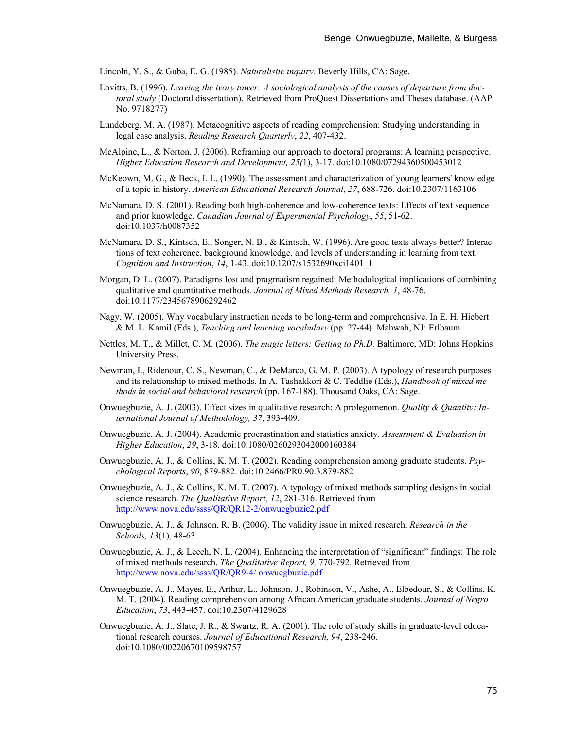Lincoln, Y. S., & Guba, E. G. (1985). *Naturalistic inquiry.* Beverly Hills, CA: Sage.

- Lovitts, B. (1996). *Leaving the ivory tower: A sociological analysis of the causes of departure from doctoral study* (Doctoral dissertation). Retrieved from ProQuest Dissertations and Theses database. (AAP No. 9718277)
- Lundeberg, M. A. (1987). Metacognitive aspects of reading comprehension: Studying understanding in legal case analysis. *Reading Research Quarterly*, *22*, 407-432.
- McAlpine, L., & Norton, J. (2006). Reframing our approach to doctoral programs: A learning perspective. *Higher Education Research and Development, 25(*1), 3-17. [doi:10.1080/07294360500453012](http://dx.doi.org/10.1080/07294360500453012)
- McKeown, M. G., & Beck, I. L. (1990). The assessment and characterization of young learners' knowledge of a topic in history. *American Educational Research Journal*, *27*, 688-726. [doi:10.2307/1163106](http://dx.doi.org/10.2307/1163106)
- McNamara, D. S. (2001). Reading both high-coherence and low-coherence texts: Effects of text sequence and prior knowledge. *Canadian Journal of Experimental Psychology*, *55*, 51-62. [doi:10.1037/h0087352](http://dx.doi.org/10.1037/h0087352)
- McNamara, D. S., Kintsch, E., Songer, N. B., & Kintsch, W. (1996). Are good texts always better? Interactions of text coherence, background knowledge, and levels of understanding in learning from text. *Cognition and Instruction*, *14*, 1-43. [doi:10.1207/s1532690xci1401\\_1](http://dx.doi.org/10.1207/s1532690xci1401_1)
- Morgan, D. L. (2007). Paradigms lost and pragmatism regained: Methodological implications of combining qualitative and quantitative methods. *Journal of Mixed Methods Research, 1*, 48-76. [doi:10.1177/2345678906292462](http://dx.doi.org/10.1177/2345678906292462)
- Nagy, W. (2005). Why vocabulary instruction needs to be long-term and comprehensive. In E. H. Hiebert & M. L. Kamil (Eds.), *Teaching and learning vocabulary* (pp. 27-44). Mahwah, NJ: Erlbaum.
- Nettles, M. T., & Millet, C. M. (2006). *The magic letters: Getting to Ph.D.* Baltimore, MD: Johns Hopkins University Press.
- Newman, I., Ridenour, C. S., Newman, C., & DeMarco, G. M. P. (2003). A typology of research purposes and its relationship to mixed methods. In A. Tashakkori & C. Teddlie (Eds.), *Handbook of mixed methods in social and behavioral research* (pp. 167-188)*.* Thousand Oaks, CA: Sage.
- Onwuegbuzie, A. J. (2003). Effect sizes in qualitative research: A prolegomenon. *Quality & Quantity: International Journal of Methodology, 37*, 393-409.
- Onwuegbuzie, A. J. (2004). Academic procrastination and statistics anxiety. *Assessment & Evaluation in Higher Education*, *29*, 3-18. [doi:10.1080/0260293042000160384](http://dx.doi.org/10.1080/0260293042000160384)
- Onwuegbuzie, A. J., & Collins, K. M. T. (2002). Reading comprehension among graduate students. *Psychological Reports*, *90*, 879-882. [doi:10.2466/PR0.90.3.879-882](http://dx.doi.org/10.2466/PR0.90.3.879-882)
- Onwuegbuzie, A. J., & Collins, K. M. T. (2007). A typology of mixed methods sampling designs in social science research. *The Qualitative Report, 12*, 281-316. Retrieved from <http://www.nova.edu/ssss/QR/QR12-2/onwuegbuzie2.pdf>
- Onwuegbuzie, A. J., & Johnson, R. B. (2006). The validity issue in mixed research. *Research in the Schools, 13*(1), 48-63.
- Onwuegbuzie, A. J., & Leech, N. L. (2004). Enhancing the interpretation of "significant" findings: The role of mixed methods research. *The Qualitative Report, 9,* 770-792. Retrieved from [http://www.nova.edu/ssss/QR/QR9-4/ onwuegbuzie.pdf](http://www.nova.edu/ssss/QR/QR9-4/%20onwuegbuzie.pdf)
- Onwuegbuzie, A. J., Mayes, E., Arthur, L., Johnson, J., Robinson, V., Ashe, A., Elbedour, S., & Collins, K. M. T. (2004). Reading comprehension among African American graduate students. *Journal of Negro Education*, *73*, 443-457. [doi:10.2307/4129628](http://dx.doi.org/10.2307/4129628)
- Onwuegbuzie, A. J., Slate, J. R., & Swartz, R. A. (2001). The role of study skills in graduate-level educational research courses. *Journal of Educational Research, 94*, 238-246. [doi:10.1080/00220670109598757](http://dx.doi.org/10.1080/00220670109598757)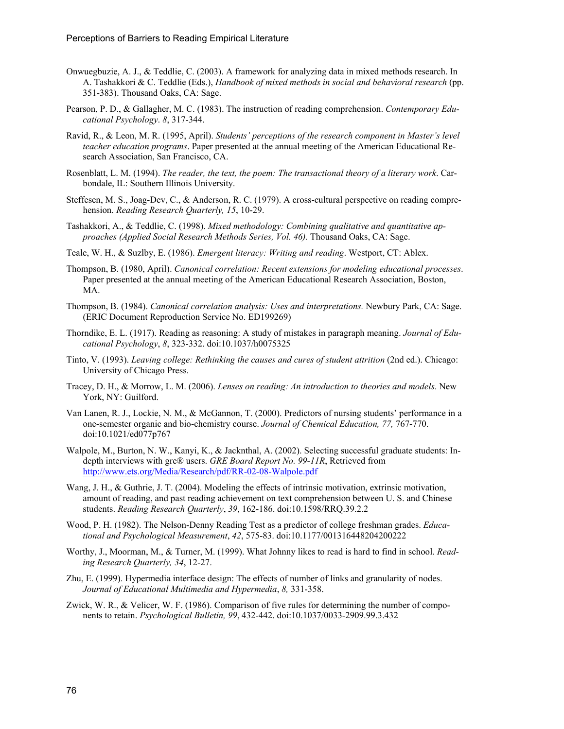- Onwuegbuzie, A. J., & Teddlie, C. (2003). A framework for analyzing data in mixed methods research. In A. Tashakkori & C. Teddlie (Eds.), *Handbook of mixed methods in social and behavioral research* (pp. 351-383). Thousand Oaks, CA: Sage.
- Pearson, P. D., & Gallagher, M. C. (1983). The instruction of reading comprehension. *Contemporary Educational Psychology*. *8*, 317-344.
- Ravid, R., & Leon, M. R. (1995, April). *Students' perceptions of the research component in Master's level teacher education programs*. Paper presented at the annual meeting of the American Educational Research Association, San Francisco, CA.
- Rosenblatt, L. M. (1994). *The reader, the text, the poem: The transactional theory of a literary work*. Carbondale, IL: Southern Illinois University.
- Steffesen, M. S., Joag-Dev, C., & Anderson, R. C. (1979). A cross-cultural perspective on reading comprehension. *Reading Research Quarterly, 15*, 10-29.
- Tashakkori, A., & Teddlie, C. (1998). *Mixed methodology: Combining qualitative and quantitative approaches (Applied Social Research Methods Series, Vol. 46).* Thousand Oaks, CA: Sage.
- Teale, W. H., & Suzlby, E. (1986). *Emergent literacy: Writing and reading*. Westport, CT: Ablex.
- Thompson, B. (1980, April). *Canonical correlation: Recent extensions for modeling educational processes*. Paper presented at the annual meeting of the American Educational Research Association, Boston, MA.
- Thompson, B. (1984). *Canonical correlation analysis: Uses and interpretations.* Newbury Park, CA: Sage. (ERIC Document Reproduction Service No. ED199269)
- Thorndike, E. L. (1917). Reading as reasoning: A study of mistakes in paragraph meaning. *Journal of Educational Psychology*, *8*, 323-332. [doi:10.1037/h0075325](http://dx.doi.org/10.1037/h0075325)
- Tinto, V. (1993). *Leaving college: Rethinking the causes and cures of student attrition* (2nd ed.). Chicago: University of Chicago Press.
- Tracey, D. H., & Morrow, L. M. (2006). *Lenses on reading: An introduction to theories and models*. New York, NY: Guilford.
- Van Lanen, R. J., Lockie, N. M., & McGannon, T. (2000). Predictors of nursing students' performance in a one-semester organic and bio-chemistry course. *Journal of Chemical Education, 77,* 767-770. [doi:10.1021/ed077p767](http://dx.doi.org/10.1021/ed077p767)
- Walpole, M., Burton, N. W., Kanyi, K., & Jacknthal, A. (2002). Selecting successful graduate students: Indepth interviews with gre® users. *GRE Board Report No. 99-11R*, Retrieved from <http://www.ets.org/Media/Research/pdf/RR-02-08-Walpole.pdf>
- Wang, J. H., & Guthrie, J. T. (2004). Modeling the effects of intrinsic motivation, extrinsic motivation, amount of reading, and past reading achievement on text comprehension between U. S. and Chinese students. *Reading Research Quarterly*, *39*, 162-186. [doi:10.1598/RRQ.39.2.2](http://dx.doi.org/10.1598/RRQ.39.2.2)
- Wood, P. H. (1982). The Nelson-Denny Reading Test as a predictor of college freshman grades. *Educational and Psychological Measurement*, *42*, 575-83. [doi:10.1177/001316448204200222](http://dx.doi.org/10.1177/001316448204200222)
- Worthy, J., Moorman, M., & Turner, M. (1999). What Johnny likes to read is hard to find in school. *Reading Research Quarterly, 34*, 12-27.
- Zhu, E. (1999). Hypermedia interface design: The effects of number of links and granularity of nodes. *Journal of Educational Multimedia and Hypermedia*, *8,* 331-358.
- Zwick, W. R., & Velicer, W. F. (1986). Comparison of five rules for determining the number of components to retain. *Psychological Bulletin, 99*, 432-442. [doi:10.1037/0033-2909.99.3.432](http://dx.doi.org/10.1037/0033-2909.99.3.432)